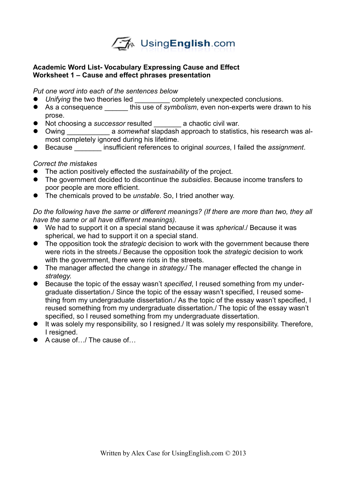

## **Academic Word List- Vocabulary Expressing Cause and Effect Worksheet 1 – Cause and effect phrases presentation**

*Put one word into each of the sentences below*

- *Unifying* the two theories led \_\_\_\_\_\_\_\_\_ completely unexpected conclusions.
- As a consequence \_\_\_\_\_\_ this use of *symbolism*, even non-experts were drawn to his prose.
- Not choosing a *successor* resulted \_\_\_\_\_\_\_ a chaotic civil war.
- Owing \_\_\_\_\_\_\_\_\_\_\_ a *somewhat* slapdash approach to statistics, his research was almost completely ignored during his lifetime.
- Because \_\_\_\_\_\_\_ insufficient references to original *sources*, I failed the *assignment*.

## *Correct the mistakes*

- The action positively effected the *sustainability* of the project.
- The government decided to discontinue the *subsidies*. Because income transfers to poor people are more efficient.
- The chemicals proved to be *unstable*. So, I tried another way.

*Do the following have the same or different meanings? (If there are more than two, they all have the same or all have different meanings).*

- We had to support it on a special stand because it was *spherical*./ Because it was spherical, we had to support it on a special stand.
- The opposition took the *strategic* decision to work with the government because there were riots in the streets./ Because the opposition took the *strategic* decision to work with the government, there were riots in the streets.
- The manager affected the change in *strategy*./ The manager effected the change in *strategy*.
- Because the topic of the essay wasn't *specified*, I reused something from my undergraduate dissertation./ Since the topic of the essay wasn't specified, I reused something from my undergraduate dissertation./ As the topic of the essay wasn't specified, I reused something from my undergraduate dissertation./ The topic of the essay wasn't specified, so I reused something from my undergraduate dissertation.
- It was solely my responsibility, so I resigned./ It was solely my responsibility. Therefore, I resigned.
- A cause of ∴ / The cause of …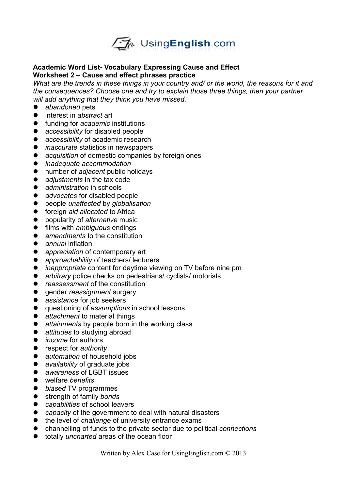

## **Academic Word List- Vocabulary Expressing Cause and Effect Worksheet 2 – Cause and effect phrases practice**

What are the trends in these things in your country and/ or the world, the reasons for it and *the consequences? Choose one and try to explain those three things, then your partner will add anything that they think you have missed.* 

- *abandoned* pets
- interest in *abstract* art
- funding for *academic* institutions
- *accessibility* for disabled people
- *accessibility* of academic research
- *inaccurate* statistics in newspapers
- *acquisition* of domestic companies by foreign ones
- *inadequate accommodation*
- number of *adjacent* public holidays
- *adjustments* in the tax code
- *administration* in schools
- *advocates* for disabled people
- people *unaffected* by *globalisation*
- **•** foreign *aid allocated* to Africa
- popularity of *alternative* music
- films with *ambiguous* endings
- *amendments* to the constitution
- *annual* inflation
- *appreciation* of contemporary art
- *approachability* of teachers/ lecturers
- *inappropriate* content for daytime viewing on TV before nine pm
- *arbitrary* police checks on pedestrians/ cyclists/ motorists
- *reassessment* of the constitution
- **e** gender *reassignment* surgery
- **•** assistance for job seekers
- questioning of *assumptions* in school lessons
- *attachment* to material things
- *attainments* by people born in the working class
- *attitudes* to studying abroad
- *income* for authors
- **•** respect for *authority*
- *automation* of household jobs
- *availability* of graduate jobs
- *awareness* of LGBT issues
- welfare *benefits*
- *biased* TV programmes
- strength of family *bonds*
- *capabilities* of school leavers
- *capacity* of the government to deal with natural disasters
- the level of *challenge* of university entrance exams
- channelling of funds to the private sector due to political *connections*
- totally *uncharted* areas of the ocean floor